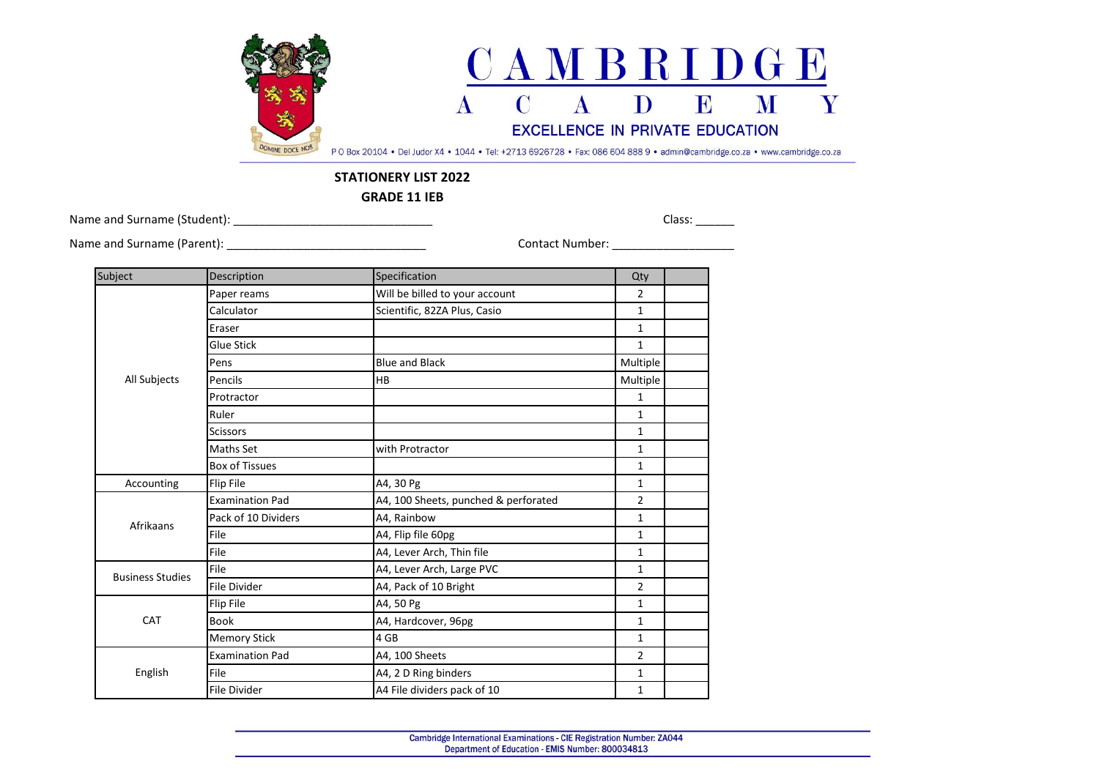

## **STATIONERY LIST 2022**

**GRADE 11 IEB**

Name and Surname (Student): \_\_\_\_\_\_\_\_\_\_\_\_\_\_\_\_\_\_\_\_\_\_\_\_\_\_\_\_\_\_\_ Class: \_\_\_\_\_\_

Name and Surname (Parent): \_\_\_\_\_\_\_\_\_\_\_\_\_\_\_\_\_\_\_\_\_\_\_\_\_\_\_\_\_\_\_ Contact Number: \_\_\_\_\_\_\_\_\_\_\_\_\_\_\_\_\_\_\_

| Subject                 | Description            | Specification                        | Qty            |  |
|-------------------------|------------------------|--------------------------------------|----------------|--|
| All Subjects            | Paper reams            | Will be billed to your account       | $\overline{2}$ |  |
|                         | Calculator             | Scientific, 82ZA Plus, Casio         | $\mathbf{1}$   |  |
|                         | Eraser                 |                                      | $\mathbf{1}$   |  |
|                         | Glue Stick             |                                      | $\mathbf{1}$   |  |
|                         | Pens                   | <b>Blue and Black</b>                | Multiple       |  |
|                         | Pencils                | <b>HB</b>                            | Multiple       |  |
|                         | Protractor             |                                      | $\mathbf{1}$   |  |
|                         | Ruler                  |                                      | $\mathbf{1}$   |  |
|                         | <b>Scissors</b>        |                                      | $\mathbf{1}$   |  |
|                         | Maths Set              | with Protractor                      | $\mathbf{1}$   |  |
|                         | <b>Box of Tissues</b>  |                                      | $\mathbf{1}$   |  |
| Accounting              | Flip File              | A4, 30 Pg                            | $\mathbf{1}$   |  |
| Afrikaans               | <b>Examination Pad</b> | A4, 100 Sheets, punched & perforated | $\overline{2}$ |  |
|                         | Pack of 10 Dividers    | A4, Rainbow                          | $\mathbf{1}$   |  |
|                         | File                   | A4, Flip file 60pg                   | $\mathbf{1}$   |  |
|                         | File                   | A4, Lever Arch, Thin file            | $\mathbf{1}$   |  |
| <b>Business Studies</b> | File                   | A4, Lever Arch, Large PVC            | 1              |  |
|                         | <b>File Divider</b>    | A4, Pack of 10 Bright                | $\overline{2}$ |  |
| CAT                     | Flip File              | A4, 50 Pg                            | $\mathbf{1}$   |  |
|                         | <b>Book</b>            | A4, Hardcover, 96pg                  | 1              |  |
|                         | <b>Memory Stick</b>    | 4 GB                                 | $\mathbf{1}$   |  |
| English                 | <b>Examination Pad</b> | A4, 100 Sheets                       | $\overline{2}$ |  |
|                         | File                   | A4, 2 D Ring binders                 | 1              |  |
|                         | <b>File Divider</b>    | A4 File dividers pack of 10          | 1              |  |
|                         |                        |                                      |                |  |